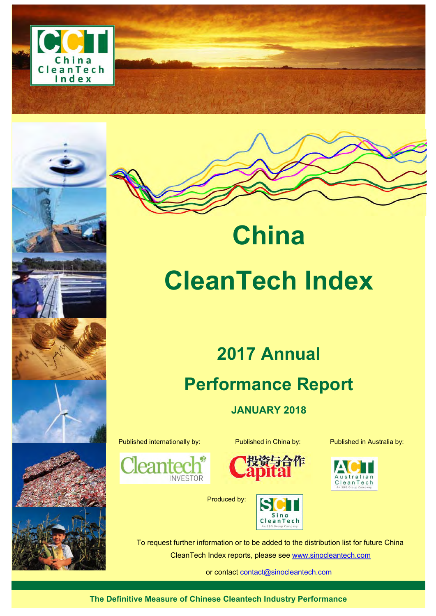



# **CleanTech Index**

**China** 

# **2017 Annual Performance Report**

**JANUARY 2018** 

Published internationally by: Published in China by: Published in Australia by:

**INVESTOR** 

lea



Produced by:





To request further information or to be added to the distribution list for future China CleanTech Index reports, please see www.sinocleantech.com

or contact contact@sinocleantech.com

**The Definitive Measure of Chinese Cleantech Industry Performance**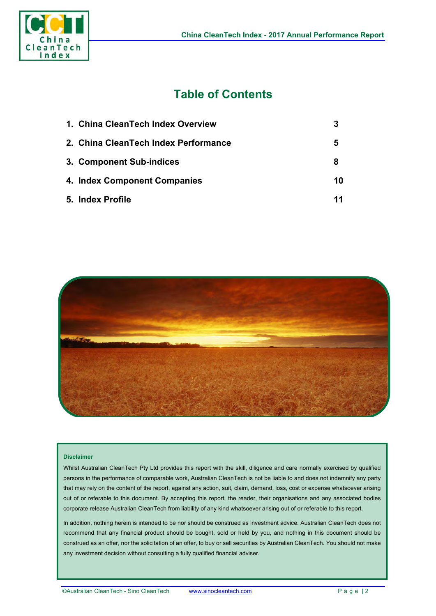

# **Table of Contents**

| 1. China CleanTech Index Overview    |    |
|--------------------------------------|----|
| 2. China CleanTech Index Performance | 5  |
| 3. Component Sub-indices             | 8  |
| 4. Index Component Companies         | 10 |
| 5. Index Profile                     | 11 |



#### **Disclaimer**

Whilst Australian CleanTech Pty Ltd provides this report with the skill, diligence and care normally exercised by qualified persons in the performance of comparable work, Australian CleanTech is not be liable to and does not indemnify any party that may rely on the content of the report, against any action, suit, claim, demand, loss, cost or expense whatsoever arising out of or referable to this document. By accepting this report, the reader, their organisations and any associated bodies corporate release Australian CleanTech from liability of any kind whatsoever arising out of or referable to this report.

In addition, nothing herein is intended to be nor should be construed as investment advice. Australian CleanTech does not recommend that any financial product should be bought, sold or held by you, and nothing in this document should be construed as an offer, nor the solicitation of an offer, to buy or sell securities by Australian CleanTech. You should not make any investment decision without consulting a fully qualified financial adviser.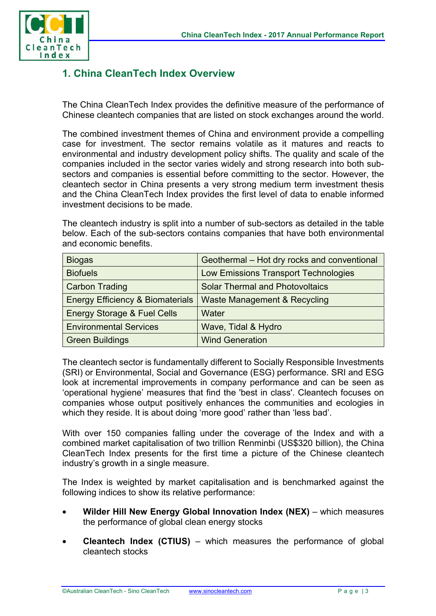

## **1. China CleanTech Index Overview**

The China CleanTech Index provides the definitive measure of the performance of Chinese cleantech companies that are listed on stock exchanges around the world.

The combined investment themes of China and environment provide a compelling case for investment. The sector remains volatile as it matures and reacts to environmental and industry development policy shifts. The quality and scale of the companies included in the sector varies widely and strong research into both subsectors and companies is essential before committing to the sector. However, the cleantech sector in China presents a very strong medium term investment thesis and the China CleanTech Index provides the first level of data to enable informed investment decisions to be made.

The cleantech industry is split into a number of sub-sectors as detailed in the table below. Each of the sub-sectors contains companies that have both environmental and economic benefits.

| <b>Biogas</b>                               | Geothermal - Hot dry rocks and conventional |  |
|---------------------------------------------|---------------------------------------------|--|
| <b>Biofuels</b>                             | <b>Low Emissions Transport Technologies</b> |  |
| <b>Carbon Trading</b>                       | <b>Solar Thermal and Photovoltaics</b>      |  |
| <b>Energy Efficiency &amp; Biomaterials</b> | Waste Management & Recycling                |  |
| <b>Energy Storage &amp; Fuel Cells</b>      | Water                                       |  |
| <b>Environmental Services</b>               | Wave, Tidal & Hydro                         |  |
| <b>Green Buildings</b>                      | <b>Wind Generation</b>                      |  |

The cleantech sector is fundamentally different to Socially Responsible Investments (SRI) or Environmental, Social and Governance (ESG) performance. SRI and ESG look at incremental improvements in company performance and can be seen as 'operational hygiene' measures that find the 'best in class'. Cleantech focuses on companies whose output positively enhances the communities and ecologies in which they reside. It is about doing 'more good' rather than 'less bad'.

With over 150 companies falling under the coverage of the Index and with a combined market capitalisation of two trillion Renminbi (US\$320 billion), the China CleanTech Index presents for the first time a picture of the Chinese cleantech industry's growth in a single measure.

The Index is weighted by market capitalisation and is benchmarked against the following indices to show its relative performance:

- **Wilder Hill New Energy Global Innovation Index (NEX)** which measures the performance of global clean energy stocks
- **Cleantech Index (CTIUS)** which measures the performance of global cleantech stocks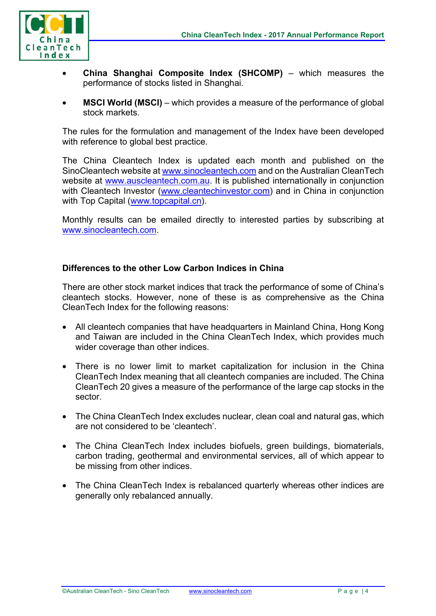

- **China Shanghai Composite Index (SHCOMP)** which measures the performance of stocks listed in Shanghai.
- **MSCI World (MSCI)** which provides a measure of the performance of global stock markets.

The rules for the formulation and management of the Index have been developed with reference to global best practice.

The China Cleantech Index is updated each month and published on the SinoCleantech website at www.sinocleantech.com and on the Australian CleanTech website at www.auscleantech.com.au. It is published internationally in conjunction with Cleantech Investor (www.cleantechinvestor.com) and in China in conjunction with Top Capital (www.topcapital.cn).

Monthly results can be emailed directly to interested parties by subscribing at www.sinocleantech.com.

#### **Differences to the other Low Carbon Indices in China**

There are other stock market indices that track the performance of some of China's cleantech stocks. However, none of these is as comprehensive as the China CleanTech Index for the following reasons:

- All cleantech companies that have headquarters in Mainland China, Hong Kong and Taiwan are included in the China CleanTech Index, which provides much wider coverage than other indices.
- There is no lower limit to market capitalization for inclusion in the China CleanTech Index meaning that all cleantech companies are included. The China CleanTech 20 gives a measure of the performance of the large cap stocks in the sector.
- The China CleanTech Index excludes nuclear, clean coal and natural gas, which are not considered to be 'cleantech'.
- The China CleanTech Index includes biofuels, green buildings, biomaterials, carbon trading, geothermal and environmental services, all of which appear to be missing from other indices.
- The China CleanTech Index is rebalanced quarterly whereas other indices are generally only rebalanced annually.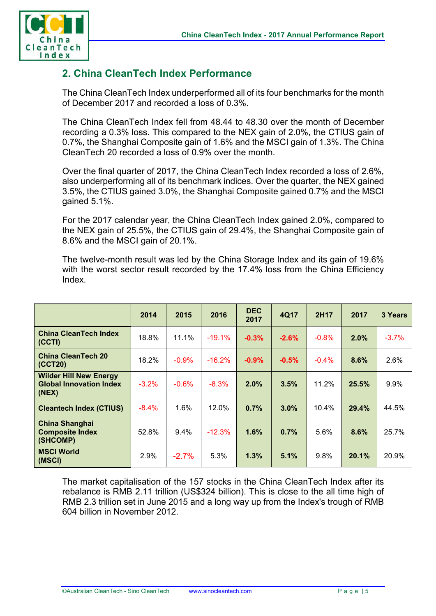

# **2. China CleanTech Index Performance**

The China CleanTech Index underperformed all of its four benchmarks for the month of December 2017 and recorded a loss of 0.3%.

The China CleanTech Index fell from 48.44 to 48.30 over the month of December recording a 0.3% loss. This compared to the NEX gain of 2.0%, the CTIUS gain of 0.7%, the Shanghai Composite gain of 1.6% and the MSCI gain of 1.3%. The China CleanTech 20 recorded a loss of 0.9% over the month.

Over the final quarter of 2017, the China CleanTech Index recorded a loss of 2.6%, also underperforming all of its benchmark indices. Over the quarter, the NEX gained 3.5%, the CTIUS gained 3.0%, the Shanghai Composite gained 0.7% and the MSCI gained 5.1%.

For the 2017 calendar year, the China CleanTech Index gained 2.0%, compared to the NEX gain of 25.5%, the CTIUS gain of 29.4%, the Shanghai Composite gain of 8.6% and the MSCI gain of 20.1%.

The twelve-month result was led by the China Storage Index and its gain of 19.6% with the worst sector result recorded by the 17.4% loss from the China Efficiency Index.

|                                                                              | 2014    | 2015    | 2016     | <b>DEC</b><br>2017 | 4Q17    | 2H17    | 2017  | 3 Years |
|------------------------------------------------------------------------------|---------|---------|----------|--------------------|---------|---------|-------|---------|
| <b>China CleanTech Index</b><br>  (CCTI)                                     | 18.8%   | 11.1%   | $-19.1%$ | $-0.3%$            | $-2.6%$ | $-0.8%$ | 2.0%  | $-3.7%$ |
| <b>China CleanTech 20</b><br>$ $ (CCT20)                                     | 18.2%   | $-0.9%$ | $-16.2%$ | $-0.9%$            | $-0.5%$ | $-0.4%$ | 8.6%  | 2.6%    |
| <b>Wilder Hill New Energy</b><br><b>Global Innovation Index</b><br>$ $ (NEX) | $-3.2%$ | $-0.6%$ | $-8.3%$  | 2.0%               | 3.5%    | 11.2%   | 25.5% | 9.9%    |
| <b>Cleantech Index (CTIUS)</b>                                               | $-8.4%$ | 1.6%    | 12.0%    | 0.7%               | 3.0%    | 10.4%   | 29.4% | 44.5%   |
| <b>China Shanghai</b><br><b>Composite Index</b><br>(SHCOMP)                  | 52.8%   | 9.4%    | $-12.3%$ | 1.6%               | 0.7%    | 5.6%    | 8.6%  | 25.7%   |
| <b>MSCI World</b><br>(MSCI)                                                  | 2.9%    | $-2.7%$ | 5.3%     | 1.3%               | 5.1%    | 9.8%    | 20.1% | 20.9%   |

The market capitalisation of the 157 stocks in the China CleanTech Index after its rebalance is RMB 2.11 trillion (US\$324 billion). This is close to the all time high of RMB 2.3 trillion set in June 2015 and a long way up from the Index's trough of RMB 604 billion in November 2012.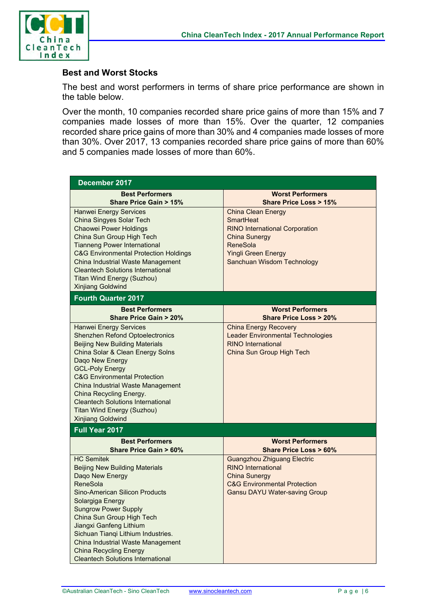

#### **Best and Worst Stocks**

The best and worst performers in terms of share price performance are shown in the table below.

Over the month, 10 companies recorded share price gains of more than 15% and 7 companies made losses of more than 15%. Over the quarter, 12 companies recorded share price gains of more than 30% and 4 companies made losses of more than 30%. Over 2017, 13 companies recorded share price gains of more than 60% and 5 companies made losses of more than 60%.

| December 2017                                                                                                                                                                                                                                                                                                                                                                                                      |                                                                                                                                                                                 |  |  |  |
|--------------------------------------------------------------------------------------------------------------------------------------------------------------------------------------------------------------------------------------------------------------------------------------------------------------------------------------------------------------------------------------------------------------------|---------------------------------------------------------------------------------------------------------------------------------------------------------------------------------|--|--|--|
| <b>Best Performers</b><br><b>Share Price Gain &gt; 15%</b>                                                                                                                                                                                                                                                                                                                                                         | <b>Worst Performers</b><br><b>Share Price Loss &gt; 15%</b>                                                                                                                     |  |  |  |
| Hanwei Energy Services<br>China Singyes Solar Tech<br><b>Chaowei Power Holdings</b><br>China Sun Group High Tech<br><b>Tianneng Power International</b><br><b>C&amp;G Environmental Protection Holdings</b><br>China Industrial Waste Management<br><b>Cleantech Solutions International</b><br>Titan Wind Energy (Suzhou)<br><b>Xinjiang Goldwind</b>                                                             | <b>China Clean Energy</b><br>SmartHeat<br><b>RINO International Corporation</b><br>China Sunergy<br><b>ReneSola</b><br><b>Yingli Green Energy</b><br>Sanchuan Wisdom Technology |  |  |  |
| <b>Fourth Quarter 2017</b>                                                                                                                                                                                                                                                                                                                                                                                         |                                                                                                                                                                                 |  |  |  |
| <b>Best Performers</b><br>Share Price Gain > 20%                                                                                                                                                                                                                                                                                                                                                                   | <b>Worst Performers</b><br><b>Share Price Loss &gt; 20%</b>                                                                                                                     |  |  |  |
| <b>Hanwei Energy Services</b><br><b>Shenzhen Refond Optoelectronics</b><br><b>Beijing New Building Materials</b><br>China Solar & Clean Energy Solns<br>Daqo New Energy<br><b>GCL-Poly Energy</b><br><b>C&amp;G Environmental Protection</b><br>China Industrial Waste Management<br>China Recycling Energy.<br><b>Cleantech Solutions International</b><br>Titan Wind Energy (Suzhou)<br><b>Xinjiang Goldwind</b> | <b>China Energy Recovery</b><br><b>Leader Environmental Technologies</b><br><b>RINO International</b><br>China Sun Group High Tech                                              |  |  |  |
| Full Year 2017                                                                                                                                                                                                                                                                                                                                                                                                     |                                                                                                                                                                                 |  |  |  |
| <b>Best Performers</b><br><b>Share Price Gain &gt; 60%</b>                                                                                                                                                                                                                                                                                                                                                         | <b>Worst Performers</b><br><b>Share Price Loss &gt; 60%</b>                                                                                                                     |  |  |  |
| <b>HC Semitek</b><br><b>Beijing New Building Materials</b><br>Daqo New Energy<br>ReneSola<br>Sino-American Silicon Products<br>Solargiga Energy<br><b>Sungrow Power Supply</b><br>China Sun Group High Tech<br>Jiangxi Ganfeng Lithium<br>Sichuan Tianqi Lithium Industries.<br>China Industrial Waste Management<br><b>China Recycling Energy</b><br><b>Cleantech Solutions International</b>                     | <b>Guangzhou Zhiguang Electric</b><br><b>RINO International</b><br><b>China Sunergy</b><br><b>C&amp;G Environmental Protection</b><br><b>Gansu DAYU Water-saving Group</b>      |  |  |  |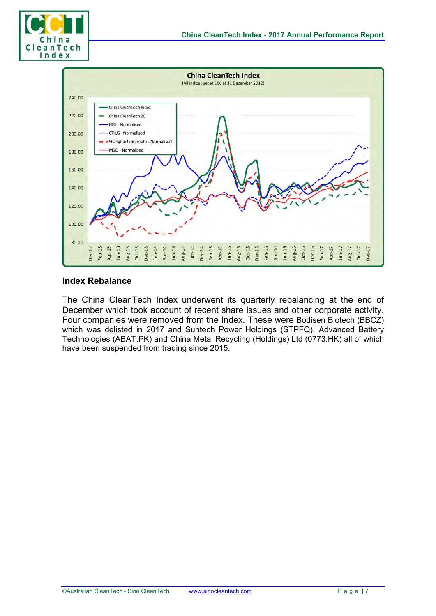



#### **Index Rebalance**

The China CleanTech Index underwent its quarterly rebalancing at the end of December which took account of recent share issues and other corporate activity. Four companies were removed from the Index. These were Bodisen Biotech (BBCZ) which was delisted in 2017 and Suntech Power Holdings (STPFQ), Advanced Battery Technologies (ABAT.PK) and China Metal Recycling (Holdings) Ltd (0773.HK) all of which have been suspended from trading since 2015.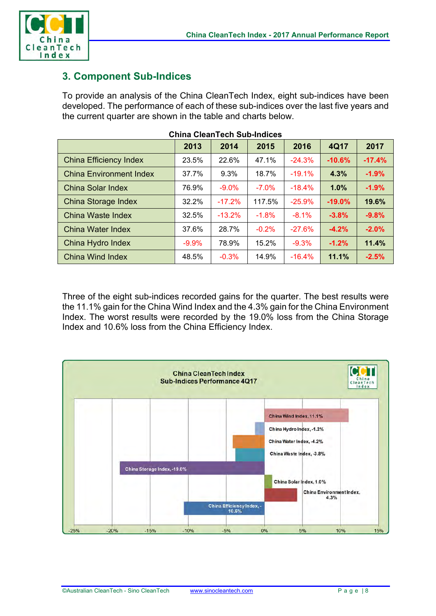

### **3. Component Sub-Indices**

To provide an analysis of the China CleanTech Index, eight sub-indices have been developed. The performance of each of these sub-indices over the last five years and the current quarter are shown in the table and charts below.

|                                | 2013    | 2014     | 2015    | 2016     | 4Q17     | 2017     |
|--------------------------------|---------|----------|---------|----------|----------|----------|
| <b>China Efficiency Index</b>  | 23.5%   | 22.6%    | 47.1%   | $-24.3%$ | $-10.6%$ | $-17.4%$ |
| <b>China Environment Index</b> | 37.7%   | 9.3%     | 18.7%   | $-19.1%$ | 4.3%     | $-1.9%$  |
| China Solar Index              | 76.9%   | $-9.0\%$ | $-7.0%$ | $-18.4%$ | 1.0%     | $-1.9%$  |
| China Storage Index            | 32.2%   | $-17.2%$ | 117.5%  | $-25.9%$ | $-19.0%$ | 19.6%    |
| China Waste Index              | 32.5%   | $-13.2%$ | $-1.8%$ | $-8.1%$  | $-3.8%$  | $-9.8%$  |
| China Water Index              | 37.6%   | 28.7%    | $-0.2%$ | $-27.6%$ | $-4.2%$  | $-2.0%$  |
| China Hydro Index              | $-9.9%$ | 78.9%    | 15.2%   | $-9.3%$  | $-1.2%$  | 11.4%    |
| China Wind Index               | 48.5%   | $-0.3%$  | 14.9%   | $-16.4%$ | 11.1%    | $-2.5%$  |

Three of the eight sub-indices recorded gains for the quarter. The best results were the 11.1% gain for the China Wind Index and the 4.3% gain for the China Environment Index. The worst results were recorded by the 19.0% loss from the China Storage Index and 10.6% loss from the China Efficiency Index.

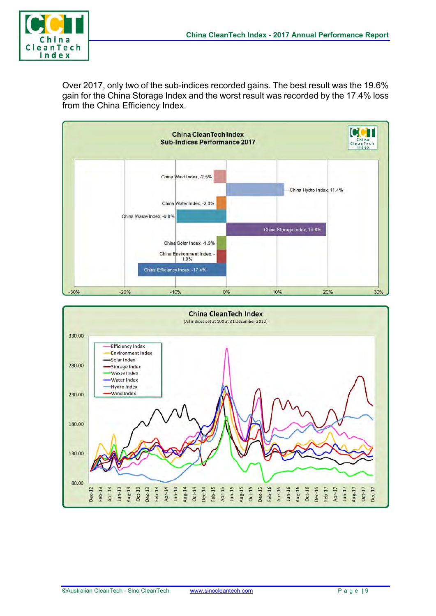

Over 2017, only two of the sub-indices recorded gains. The best result was the 19.6% gain for the China Storage Index and the worst result was recorded by the 17.4% loss from the China Efficiency Index.



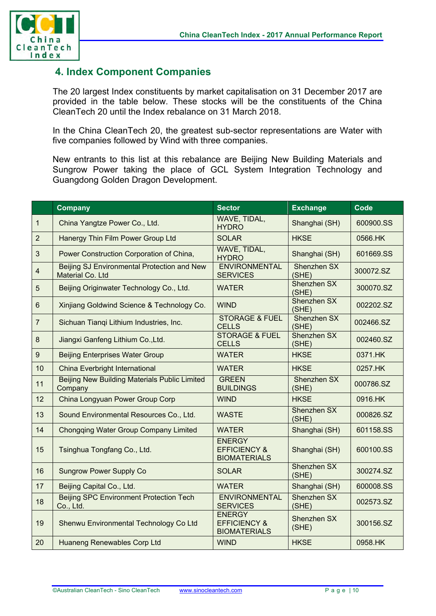

### **4. Index Component Companies**

The 20 largest Index constituents by market capitalisation on 31 December 2017 are provided in the table below. These stocks will be the constituents of the China CleanTech 20 until the Index rebalance on 31 March 2018.

In the China CleanTech 20, the greatest sub-sector representations are Water with five companies followed by Wind with three companies.

New entrants to this list at this rebalance are Beijing New Building Materials and Sungrow Power taking the place of GCL System Integration Technology and Guangdong Golden Dragon Development.

|                  | <b>Company</b>                                                  | <b>Sector</b>                                                   | <b>Exchange</b>             | <b>Code</b> |
|------------------|-----------------------------------------------------------------|-----------------------------------------------------------------|-----------------------------|-------------|
| $\mathbf{1}$     | China Yangtze Power Co., Ltd.                                   | WAVE, TIDAL,<br><b>HYDRO</b>                                    | Shanghai (SH)               | 600900.SS   |
| $\overline{2}$   | Hanergy Thin Film Power Group Ltd                               | <b>SOLAR</b>                                                    | <b>HKSE</b>                 | 0566.HK     |
| $\mathfrak{S}$   | Power Construction Corporation of China,                        | WAVE, TIDAL,<br><b>HYDRO</b>                                    | Shanghai (SH)               | 601669.SS   |
| $\overline{4}$   | Beijing SJ Environmental Protection and New<br>Material Co. Ltd | <b>ENVIRONMENTAL</b><br><b>SERVICES</b>                         | Shenzhen SX<br>(SHE)        | 300072.SZ   |
| 5                | Beijing Originwater Technology Co., Ltd.                        | <b>WATER</b>                                                    | <b>Shenzhen SX</b><br>(SHE) | 300070.SZ   |
| $6\phantom{1}$   | Xinjiang Goldwind Science & Technology Co.                      | <b>WIND</b>                                                     | Shenzhen SX<br>(SHE)        | 002202.SZ   |
| $\overline{7}$   | Sichuan Tianqi Lithium Industries, Inc.                         | <b>STORAGE &amp; FUEL</b><br><b>CELLS</b>                       | Shenzhen SX<br>(SHE)        | 002466.SZ   |
| $\bf 8$          | Jiangxi Ganfeng Lithium Co., Ltd.                               | <b>STORAGE &amp; FUEL</b><br><b>CELLS</b>                       | Shenzhen SX<br>(SHE)        | 002460.SZ   |
| $\boldsymbol{9}$ | <b>Beijing Enterprises Water Group</b>                          | <b>WATER</b>                                                    | <b>HKSE</b>                 | 0371.HK     |
| 10               | <b>China Everbright International</b>                           | <b>WATER</b>                                                    | <b>HKSE</b>                 | 0257.HK     |
| 11               | <b>Beijing New Building Materials Public Limited</b><br>Company | <b>GREEN</b><br><b>BUILDINGS</b>                                | Shenzhen SX<br>(SHE)        | 000786.SZ   |
| 12               | China Longyuan Power Group Corp                                 | <b>WIND</b>                                                     | <b>HKSE</b>                 | 0916.HK     |
| 13               | Sound Environmental Resources Co., Ltd.                         | <b>WASTE</b>                                                    | Shenzhen SX<br>(SHE)        | 000826.SZ   |
| 14               | <b>Chongqing Water Group Company Limited</b>                    | <b>WATER</b>                                                    | Shanghai (SH)               | 601158.SS   |
| 15               | Tsinghua Tongfang Co., Ltd.                                     | <b>ENERGY</b><br><b>EFFICIENCY &amp;</b><br><b>BIOMATERIALS</b> | Shanghai (SH)               | 600100.SS   |
| 16               | <b>Sungrow Power Supply Co</b>                                  | <b>SOLAR</b>                                                    | Shenzhen SX<br>(SHE)        | 300274.SZ   |
| 17               | Beijing Capital Co., Ltd.                                       | <b>WATER</b>                                                    | Shanghai (SH)               | 600008.SS   |
| 18               | <b>Beijing SPC Environment Protection Tech</b><br>Co., Ltd.     | <b>ENVIRONMENTAL</b><br><b>SERVICES</b>                         | <b>Shenzhen SX</b><br>(SHE) | 002573.SZ   |
| 19               | Shenwu Environmental Technology Co Ltd                          | <b>ENERGY</b><br><b>EFFICIENCY &amp;</b><br><b>BIOMATERIALS</b> | Shenzhen SX<br>(SHE)        | 300156.SZ   |
| 20               | <b>Huaneng Renewables Corp Ltd</b>                              | <b>WIND</b>                                                     | <b>HKSE</b>                 | 0958.HK     |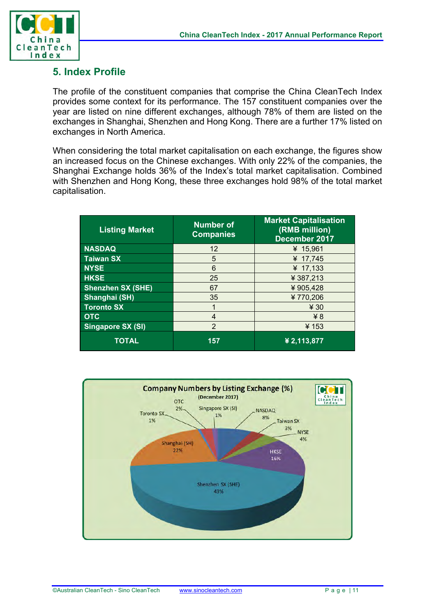

#### **5. Index Profile**

The profile of the constituent companies that comprise the China CleanTech Index provides some context for its performance. The 157 constituent companies over the year are listed on nine different exchanges, although 78% of them are listed on the exchanges in Shanghai, Shenzhen and Hong Kong. There are a further 17% listed on exchanges in North America.

When considering the total market capitalisation on each exchange, the figures show an increased focus on the Chinese exchanges. With only 22% of the companies, the Shanghai Exchange holds 36% of the Index's total market capitalisation. Combined with Shenzhen and Hong Kong, these three exchanges hold 98% of the total market capitalisation.

| <b>Listing Market</b>    | <b>Number of</b><br><b>Companies</b> | <b>Market Capitalisation</b><br>(RMB million)<br>December 2017 |  |
|--------------------------|--------------------------------------|----------------------------------------------------------------|--|
| <b>NASDAQ</b>            | 12                                   | ¥ 15,961                                                       |  |
| <b>Taiwan SX</b>         | 5                                    | ¥ 17,745                                                       |  |
| <b>NYSE</b>              | 6                                    | ¥ $17,133$                                                     |  |
| <b>HKSE</b>              | 25                                   | ¥387,213                                                       |  |
| <b>Shenzhen SX (SHE)</b> | 67                                   | ¥905,428                                                       |  |
| Shanghai (SH)            | 35                                   | ¥770,206                                                       |  |
| <b>Toronto SX</b>        |                                      | ¥ 30                                                           |  |
| <b>OTC</b>               | 4                                    | ¥ <sup>8</sup>                                                 |  |
| <b>Singapore SX (SI)</b> | $\overline{2}$                       | ¥153                                                           |  |
| <b>TOTAL</b>             | 157                                  | ¥ 2,113,877                                                    |  |

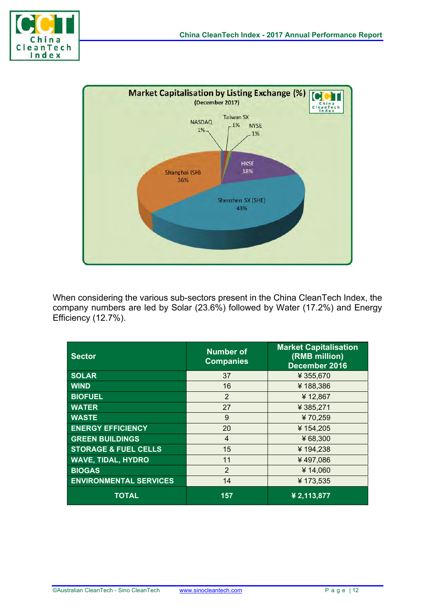



When considering the various sub-sectors present in the China CleanTech Index, the company numbers are led by Solar (23.6%) followed by Water (17.2%) and Energy Efficiency (12.7%).

| <b>Sector</b>                   | <b>Number of</b><br><b>Companies</b> | <b>Market Capitalisation</b><br>(RMB million)<br>December 2016 |
|---------------------------------|--------------------------------------|----------------------------------------------------------------|
| <b>SOLAR</b>                    | 37                                   | ¥ 355,670                                                      |
| <b>WIND</b>                     | 16                                   | ¥188,386                                                       |
| <b>BIOFUEL</b>                  | $\overline{2}$                       | ¥12,867                                                        |
| <b>WATER</b>                    | 27                                   | ¥385,271                                                       |
| <b>WASTE</b>                    | 9                                    | ¥70,259                                                        |
| <b>ENERGY EFFICIENCY</b>        | 20                                   | ¥154,205                                                       |
| <b>GREEN BUILDINGS</b>          | $\overline{4}$                       | ¥68,300                                                        |
| <b>STORAGE &amp; FUEL CELLS</b> | 15                                   | ¥194,238                                                       |
| <b>WAVE, TIDAL, HYDRO</b>       | 11                                   | ¥497,086                                                       |
| <b>BIOGAS</b>                   | $\overline{2}$                       | ¥14,060                                                        |
| <b>ENVIRONMENTAL SERVICES</b>   | 14                                   | ¥173,535                                                       |
| <b>TOTAL</b>                    | 157                                  | ¥ 2,113,877                                                    |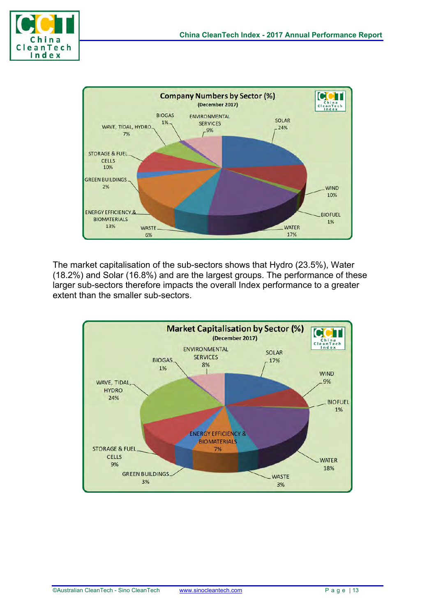



The market capitalisation of the sub-sectors shows that Hydro (23.5%), Water (18.2%) and Solar (16.8%) and are the largest groups. The performance of these larger sub-sectors therefore impacts the overall Index performance to a greater extent than the smaller sub-sectors.